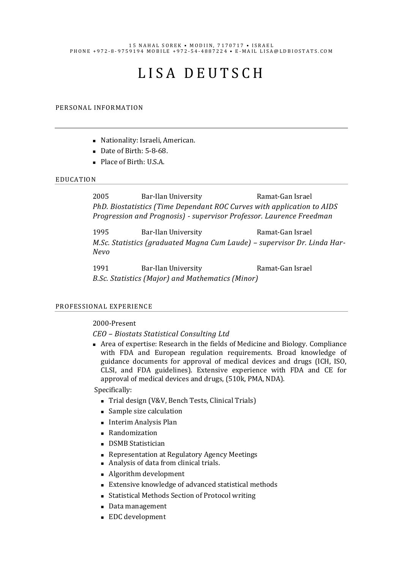#### 15 NAHAL SOREK • MODIIN, 7170717 • ISRAEL P H O N E + 9 7 2 - 8 - 9 7 5 9 1 9 4 M O B I L E + 9 7 2 - 5 4 - 4 8 8 7 2 2 4 · E - M A I L I S A @ L D B I O S T A T S . C O M

# L I S A D E U T S C H

#### PERSONAL INFORMATION

- Nationality: Israeli, American.
- Date of Birth: 5-8-68.
- Place of Birth: U.S.A.

#### EDUCATION

2005 Bar-Ilan University Ramat-Gan Israel *PhD. Biostatistics (Time Dependant ROC Curves with application to AIDS Progression and Prognosis) - supervisor Professor. Laurence Freedman*

1995 Bar-Ilan University **Ramat-Gan Israel** *M.Sc. Statistics (graduated Magna Cum Laude) – supervisor Dr. Linda Har-Nevo*

1991 Bar-Ilan University Ramat-Gan Israel *B.Sc. Statistics (Major) and Mathematics (Minor)*

#### PROFESSIONAL EXPERIENCE

#### 2000-Present

# *CEO – Biostats Statistical Consulting Ltd*

■ Area of expertise: Research in the fields of Medicine and Biology. Compliance with FDA and European regulation requirements. Broad knowledge of guidance documents for approval of medical devices and drugs (ICH, ISO, CLSI, and FDA guidelines). Extensive experience with FDA and CE for approval of medical devices and drugs, (510k, PMA, NDA).

Specifically:

- Trial design (V&V, Bench Tests, Clinical Trials)
- Sample size calculation
- Interim Analysis Plan
- Randomization
- DSMB Statistician
- Representation at Regulatory Agency Meetings
- Analysis of data from clinical trials.
- Algorithm development
- Extensive knowledge of advanced statistical methods
- Statistical Methods Section of Protocol writing
- Data management
- EDC development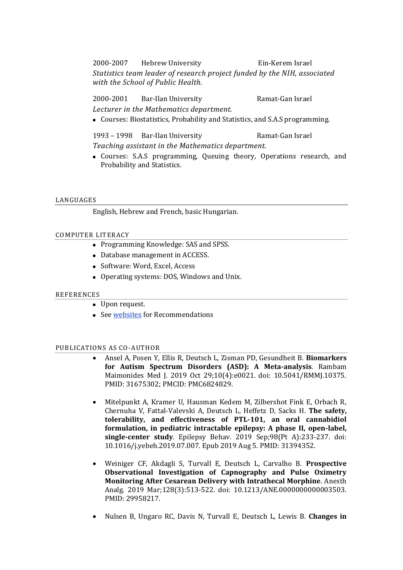2000-2007 Hebrew University Ein-Kerem Israel *Statistics team leader of research project funded by the NIH, associated with the School of Public Health.* 

2000-2001 Bar-Ilan University Ramat-Gan Israel *Lecturer in the Mathematics department.*

■ Courses: Biostatistics, Probability and Statistics, and S.A.S programming.

1993 – 1998 Bar-Ilan University Ramat-Gan Israel *Teaching assistant in the Mathematics department.*

■ Courses: S.A.S programming, Queuing theory, Operations research, and Probability and Statistics.

# LANGUAGES

English, Hebrew and French, basic Hungarian.

# COMPUTER LITERACY

- Programming Knowledge: SAS and SPSS.
- Database management in ACCESS.
- Software: Word, Excel, Access
- Operating systems: DOS, Windows and Unix.

# **REFERENCES**

- Upon request.
- Se[e websites](https://www.ldbiostats.com/?category=56) for Recommendations

# PUBLICATIONS AS CO-AUTHOR

- Ansel A, Posen Y, Ellis R, Deutsch L, Zisman PD, Gesundheit B. **Biomarkers for Autism Spectrum Disorders (ASD): A Meta-analysis**. Rambam Maimonides Med J. 2019 Oct 29;10(4):e0021. doi: 10.5041/RMMJ.10375. PMID: 31675302; PMCID: PMC6824829.
- Mitelpunkt A, Kramer U, Hausman Kedem M, Zilbershot Fink E, Orbach R, Chernuha V, Fattal-Valevski A, Deutsch L, Heffetz D, Sacks H. **The safety, tolerability, and effectiveness of PTL-101, an oral cannabidiol formulation, in pediatric intractable epilepsy: A phase II, open-label, single-center study**. Epilepsy Behav. 2019 Sep;98(Pt A):233-237. doi: 10.1016/j.yebeh.2019.07.007. Epub 2019 Aug 5. PMID: 31394352.
- Weiniger CF, Akdagli S, Turvall E, Deutsch L, Carvalho B. **Prospective Observational Investigation of Capnography and Pulse Oximetry Monitoring After Cesarean Delivery with Intrathecal Morphine**. Anesth Analg. 2019 Mar;128(3):513-522. doi: 10.1213/ANE.0000000000003503. PMID: 29958217.
- Nulsen B, Ungaro RC, Davis N, Turvall E, Deutsch L, Lewis B. **Changes in**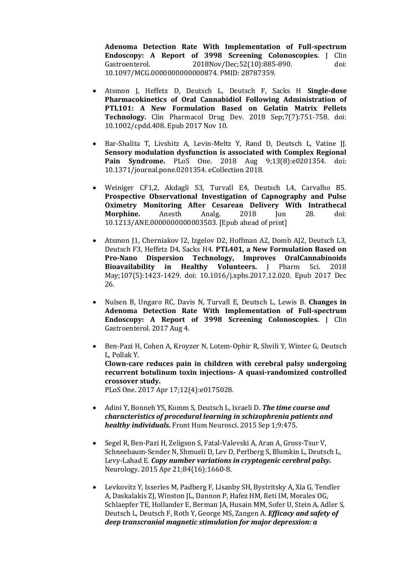**Adenoma Detection Rate With Implementation of Full-spectrum Endoscopy: A Report of 3998 Screening Colonoscopies.** J Clin Gastroenterol. 2018Nov/Dec;52(10):885-890. doi: 10.1097/MCG.0000000000000874. PMID: 28787359.

- Atsmon J, Heffetz D, Deutsch L, Deutsch F, Sacks H **Single-dose Pharmacokinetics of Oral Cannabidiol Following Administration of PTL101: A New Formulation Based on Gelatin Matrix Pellets Technology.** Clin Pharmacol Drug Dev. 2018 Sep;7(7):751-758. doi: 10.1002/cpdd.408. Epub 2017 Nov 10.
- Bar-Shalita T, Livshitz A, Levin-Meltz Y, Rand D, Deutsch L, Vatine JJ. **Sensory modulation dysfunction is associated with Complex Regional Pain Syndrome.** PLoS One. 2018 Aug 9;13(8):e0201354. doi: 10.1371/journal.pone.0201354. eCollection 2018.
- Weiniger CF1,2, Akdagli S3, Turvall E4, Deutsch L4, Carvalho B5. **Prospective Observational Investigation of Capnography and Pulse Oximetry Monitoring After Cesarean Delivery With Intrathecal Morphine.** Anesth Analg. 2018 Jun 28. doi: 10.1213/ANE.0000000000003503. [Epub ahead of print]
- Atsmon J1, Cherniakov I2, Izgelov D2, Hoffman A2, Domb AJ2, Deutsch L3, Deutsch F3, Heffetz D4, Sacks H4. **PTL401, a New Formulation Based on Pro-Nano Dispersion Technology, Improves OralCannabinoids Bioavailability in Healthy Volunteers.** J Pharm Sci. 2018 May;107(5):1423-1429. doi: 10.1016/j.xphs.2017.12.020. Epub 2017 Dec 26.
- Nulsen B, Ungaro RC, Davis N, Turvall E, Deutsch L, Lewis B. **Changes in Adenoma Detection Rate With Implementation of Full-spectrum Endoscopy: A Report of 3998 Screening Colonoscopies.** J Clin Gastroenterol. 2017 Aug 4.
- Ben-Pazi H, Cohen A, Kroyzer N, Lotem-Ophir R, Shvili Y, Winter G, Deutsch L, Pollak Y. **Clown-care reduces pain in children with cerebral palsy undergoing recurrent botulinum toxin injections- A quasi-randomized controlled crossover study.** PLoS One. 2017 Apr 17;12(4):e0175028.
- Adini Y, Bonneh YS, Komm S, Deutsch L, Israeli D. *[The time course and](http://www.ncbi.nlm.nih.gov/pubmed/26379536)  [characteristics of procedural learning in schizophrenia patients and](http://www.ncbi.nlm.nih.gov/pubmed/26379536)  [healthy individuals.](http://www.ncbi.nlm.nih.gov/pubmed/26379536)* Front Hum Neurosci. 2015 Sep 1;9:475.
- Segel R, Ben-Pazi H, Zeligson S, Fatal-Valevski A, Aran A, Gross-Tsur V, Schneebaum-Sender N, Shmueli D, Lev D, Perlberg S, Blumkin L, Deutsch L, Levy-Lahad E. *[Copy number variations in cryptogenic cerebral palsy.](http://www.ncbi.nlm.nih.gov/pubmed/25817843)* Neurology. 2015 Apr 21;84(16):1660-8.
- Levkovitz Y, Isserles M, Padberg F, Lisanby SH, Bystritsky A, Xia G, Tendler A, Daskalakis ZJ, Winston JL, Dannon P, Hafez HM, Reti IM, Morales OG, Schlaepfer TE, Hollander E, Berman JA, Husain MM, Sofer U, Stein A, Adler S, Deutsch L, Deutsch F, Roth Y, George MS, Zangen A. *[Efficacy and safety of](http://www.ncbi.nlm.nih.gov/pubmed/25655160)  [deep transcranial magnetic stimulation for major depression: a](http://www.ncbi.nlm.nih.gov/pubmed/25655160)*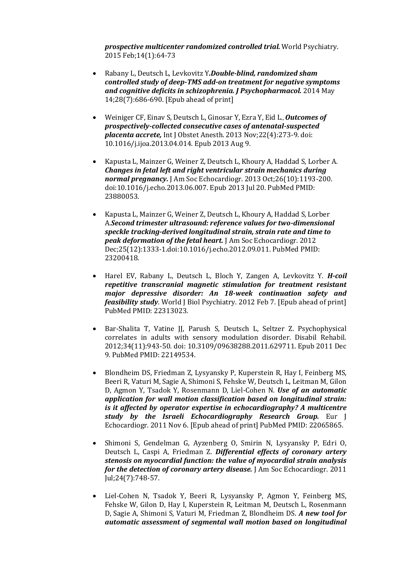*[prospective multicenter randomized controlled trial.](http://www.ncbi.nlm.nih.gov/pubmed/25655160)* World Psychiatry. 2015 Feb;14(1):64-73

- Rabany L, Deutsch L, Levkovitz Y*.Double-blind, randomized sham controlled study of deep-TMS add-on treatment for negative symptoms and cognitive deficits in schizophrenia. J Psychopharmacol.* 2014 May 14;28(7):686-690. [Epub ahead of print]
- [Weiniger](http://www.ncbi.nlm.nih.gov/pubmed?term=Weiniger%20CF%5BAuthor%5D&cauthor=true&cauthor_uid=23932233) CF, [Einav S,](http://www.ncbi.nlm.nih.gov/pubmed?term=Einav%20S%5BAuthor%5D&cauthor=true&cauthor_uid=23932233) [Deutsch L,](http://www.ncbi.nlm.nih.gov/pubmed?term=Deutsch%20L%5BAuthor%5D&cauthor=true&cauthor_uid=23932233) [Ginosar Y,](http://www.ncbi.nlm.nih.gov/pubmed?term=Ginosar%20Y%5BAuthor%5D&cauthor=true&cauthor_uid=23932233) [Ezra Y,](http://www.ncbi.nlm.nih.gov/pubmed?term=Ezra%20Y%5BAuthor%5D&cauthor=true&cauthor_uid=23932233) [Eid L](http://www.ncbi.nlm.nih.gov/pubmed?term=Eid%20L%5BAuthor%5D&cauthor=true&cauthor_uid=23932233)., *Outcomes of prospectively-collected consecutive cases of antenatal-suspected placenta accrete,* Int J Obstet Anesth. 2013 Nov;22(4):273-9. doi: 10.1016/j.ijoa.2013.04.014. Epub 2013 Aug 9.
- Kapusta L, Mainzer G, Weiner Z, Deutsch L, Khoury A, Haddad S, Lorber A. *Changes in fetal left and right ventricular strain mechanics during normal pregnancy.* J Am Soc Echocardiogr. 2013 Oct;26(10):1193-200. doi:10.1016/j.echo.2013.06.007. Epub 2013 Jul 20. PubMed PMID: 23880053.
- Kapusta L, Mainzer G, Weiner Z, Deutsch L, Khoury A, Haddad S, Lorber A.*Second trimester ultrasound: reference values for two-dimensional speckle tracking-derived longitudinal strain, strain rate and time to peak deformation of the fetal heart.* J Am Soc Echocardiogr. 2012 Dec;25(12):1333-1.doi:10.1016/j.echo.2012.09.011. PubMed PMID: 23200418.
- Harel EV, Rabany L, Deutsch L, Bloch Y, Zangen A, Levkovitz Y. *H-coil repetitive transcranial magnetic stimulation for treatment resistant major depressive disorder: An 18-week continuation safety and feasibility study*. World J Biol Psychiatry. 2012 Feb 7. [Epub ahead of print] PubMed PMID: 22313023.
- Bar-Shalita T, Vatine JJ, Parush S, Deutsch L, Seltzer Z. Psychophysical correlates in adults with sensory modulation disorder. Disabil Rehabil. 2012;34(11):943-50. doi: 10.3109/09638288.2011.629711. Epub 2011 Dec 9. PubMed PMID: 22149534.
- Blondheim DS, Friedman Z, Lysyansky P, Kuperstein R, Hay I, Feinberg MS, Beeri R, Vaturi M, Sagie A, Shimoni S, Fehske W, Deutsch L, Leitman M, Gilon D, Agmon Y, Tsadok Y, Rosenmann D, Liel-Cohen N. *Use of an automatic application for wall motion classification based on longitudinal strain: is it affected by operator expertise in echocardiography? A multicentre study by the Israeli Echocardiography Research Group.* Eur J Echocardiogr. 2011 Nov 6. [Epub ahead of print] PubMed PMID: 22065865.
- Shimoni S, Gendelman G, Ayzenberg O, Smirin N, Lysyansky P, Edri O, Deutsch L, Caspi A, Friedman Z. *Differential effects of coronary artery stenosis on myocardial function: the value of myocardial strain analysis for the detection of coronary artery disease.* J Am Soc Echocardiogr. 2011 Jul;24(7):748-57.
- Liel-Cohen N, Tsadok Y, Beeri R, Lysyansky P, Agmon Y, Feinberg MS, Fehske W, Gilon D, Hay I, Kuperstein R, Leitman M, Deutsch L, Rosenmann D, Sagie A, Shimoni S, Vaturi M, Friedman Z, Blondheim DS. *A new tool for automatic assessment of segmental wall motion based on longitudinal*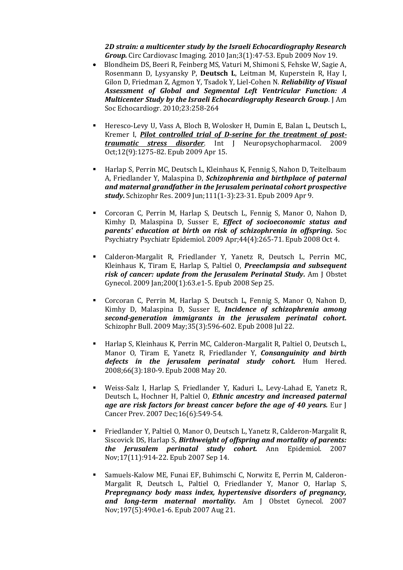*2D strain: a multicenter study by the Israeli Echocardiography Research Group.* Circ Cardiovasc Imaging. 2010 Jan;3(1):47-53. Epub 2009 Nov 19.

- Blondheim DS, Beeri R, Feinberg MS, Vaturi M, Shimoni S, Fehske W, Sagie A, Rosenmann D, Lysyansky P, **Deutsch L**, Leitman M, Kuperstein R, Hay I, Gilon D, Friedman Z, Agmon Y, Tsadok Y, Liel-Cohen N. *Reliability of Visual Assessment of Global and Segmental Left Ventricular Function: A Multicenter Study by the Israeli Echocardiography Research Group*. J Am Soc Echocardiogr. 2010;23:258-264
- Heresco-Levy U, Vass A, Bloch B, Wolosker H, Dumin E, Balan L, Deutsch L, Kremer I, *[Pilot controlled trial of D-serine for the treatment of post](http://www.ncbi.nlm.nih.gov/pubmed/19366490?itool=EntrezSystem2.PEntrez.Pubmed.Pubmed_ResultsPanel.Pubmed_RVDocSum&ordinalpos=2)[traumatic stress disorder](http://www.ncbi.nlm.nih.gov/pubmed/19366490?itool=EntrezSystem2.PEntrez.Pubmed.Pubmed_ResultsPanel.Pubmed_RVDocSum&ordinalpos=2)*. Int J Neuropsychopharmacol. 2009 Oct;12(9):1275-82. Epub 2009 Apr 15.
- Harlap S, Perrin MC, Deutsch L, Kleinhaus K, Fennig S, Nahon D, Teitelbaum A, Friedlander Y, Malaspina D, *[Schizophrenia and birthplace of paternal](http://www.ncbi.nlm.nih.gov/pubmed/19361958?itool=EntrezSystem2.PEntrez.Pubmed.Pubmed_ResultsPanel.Pubmed_RVDocSum&ordinalpos=3)  [and maternal grandfather in the Jerusalem perinatal cohort prospective](http://www.ncbi.nlm.nih.gov/pubmed/19361958?itool=EntrezSystem2.PEntrez.Pubmed.Pubmed_ResultsPanel.Pubmed_RVDocSum&ordinalpos=3)  [study.](http://www.ncbi.nlm.nih.gov/pubmed/19361958?itool=EntrezSystem2.PEntrez.Pubmed.Pubmed_ResultsPanel.Pubmed_RVDocSum&ordinalpos=3)* Schizophr Res. 2009 Jun;111(1-3):23-31. Epub 2009 Apr 9.
- Corcoran C, Perrin M, Harlap S, Deutsch L, Fennig S, Manor O, Nahon D, Kimhy D, Malaspina D, Susser E, *[Effect of socioeconomic status and](http://www.ncbi.nlm.nih.gov/pubmed/18836884?itool=EntrezSystem2.PEntrez.Pubmed.Pubmed_ResultsPanel.Pubmed_RVDocSum&ordinalpos=5)  [parents' education at birth on risk of schizophrenia in offspring.](http://www.ncbi.nlm.nih.gov/pubmed/18836884?itool=EntrezSystem2.PEntrez.Pubmed.Pubmed_ResultsPanel.Pubmed_RVDocSum&ordinalpos=5)* Soc Psychiatry Psychiatr Epidemiol. 2009 Apr;44(4):265-71. Epub 2008 Oct 4.
- Calderon-Margalit R, Friedlander Y, Yanetz R, Deutsch L, Perrin MC, Kleinhaus K, Tiram E, Harlap S, Paltiel O, *[Preeclampsia and subsequent](http://www.ncbi.nlm.nih.gov/pubmed/18822400?itool=EntrezSystem2.PEntrez.Pubmed.Pubmed_ResultsPanel.Pubmed_RVDocSum&ordinalpos=6)  [risk of cancer: update from the Jerusalem Perinatal Study.](http://www.ncbi.nlm.nih.gov/pubmed/18822400?itool=EntrezSystem2.PEntrez.Pubmed.Pubmed_ResultsPanel.Pubmed_RVDocSum&ordinalpos=6)* Am J Obstet Gynecol. 2009 Jan;200(1):63.e1-5. Epub 2008 Sep 25.
- Corcoran C, Perrin M, Harlap S, Deutsch L, Fennig S, Manor O, Nahon D, Kimhy D, Malaspina D, Susser E, *[Incidence of schizophrenia among](http://www.ncbi.nlm.nih.gov/pubmed/18648022?itool=EntrezSystem2.PEntrez.Pubmed.Pubmed_ResultsPanel.Pubmed_RVDocSum&ordinalpos=7)  [second-generation immigrants in the jerusalem perinatal cohort.](http://www.ncbi.nlm.nih.gov/pubmed/18648022?itool=EntrezSystem2.PEntrez.Pubmed.Pubmed_ResultsPanel.Pubmed_RVDocSum&ordinalpos=7)* Schizophr Bull. 2009 May;35(3):596-602. Epub 2008 Jul 22.
- Harlap S, Kleinhaus K, Perrin MC, Calderon-Margalit R, Paltiel O, Deutsch L, Manor O, Tiram E, Yanetz R, Friedlander Y, *[Consanguinity and birth](http://www.ncbi.nlm.nih.gov/pubmed/18493143?itool=EntrezSystem2.PEntrez.Pubmed.Pubmed_ResultsPanel.Pubmed_RVDocSum&ordinalpos=8)  [defects in the jerusalem perinatal study cohort.](http://www.ncbi.nlm.nih.gov/pubmed/18493143?itool=EntrezSystem2.PEntrez.Pubmed.Pubmed_ResultsPanel.Pubmed_RVDocSum&ordinalpos=8)* Hum Hered. 2008;66(3):180-9. Epub 2008 May 20.
- Weiss-Salz I, Harlap S, Friedlander Y, Kaduri L, Levy-Lahad E, Yanetz R, Deutsch L, Hochner H, Paltiel O, *[Ethnic ancestry and increased paternal](http://www.ncbi.nlm.nih.gov/pubmed/18090128?itool=EntrezSystem2.PEntrez.Pubmed.Pubmed_ResultsPanel.Pubmed_RVDocSum&ordinalpos=10)  [age are risk factors for breast cancer before the age of 40 years.](http://www.ncbi.nlm.nih.gov/pubmed/18090128?itool=EntrezSystem2.PEntrez.Pubmed.Pubmed_ResultsPanel.Pubmed_RVDocSum&ordinalpos=10)* Eur J Cancer Prev. 2007 Dec;16(6):549-54.
- Friedlander Y, Paltiel O, Manor O, Deutsch L, Yanetz R, Calderon-Margalit R, Siscovick DS, Harlap S, *[Birthweight of offspring and mortality of parents:](http://www.ncbi.nlm.nih.gov/pubmed/17855119?itool=EntrezSystem2.PEntrez.Pubmed.Pubmed_ResultsPanel.Pubmed_RVDocSum&ordinalpos=11)  [the Jerusalem perinatal study cohort.](http://www.ncbi.nlm.nih.gov/pubmed/17855119?itool=EntrezSystem2.PEntrez.Pubmed.Pubmed_ResultsPanel.Pubmed_RVDocSum&ordinalpos=11)* Ann Epidemiol. 2007 Nov;17(11):914-22. Epub 2007 Sep 14.
- Samuels-Kalow ME, Funai EF, Buhimschi C, Norwitz E, Perrin M, Calderon-Margalit R, Deutsch L, Paltiel O, Friedlander Y, Manor O, Harlap S, *[Prepregnancy body mass index, hypertensive disorders of pregnancy,](http://www.ncbi.nlm.nih.gov/pubmed/17714679?itool=EntrezSystem2.PEntrez.Pubmed.Pubmed_ResultsPanel.Pubmed_RVDocSum&ordinalpos=12)  [and long-term maternal mortality.](http://www.ncbi.nlm.nih.gov/pubmed/17714679?itool=EntrezSystem2.PEntrez.Pubmed.Pubmed_ResultsPanel.Pubmed_RVDocSum&ordinalpos=12)* Am J Obstet Gynecol. 2007 Nov;197(5):490.e1-6. Epub 2007 Aug 21.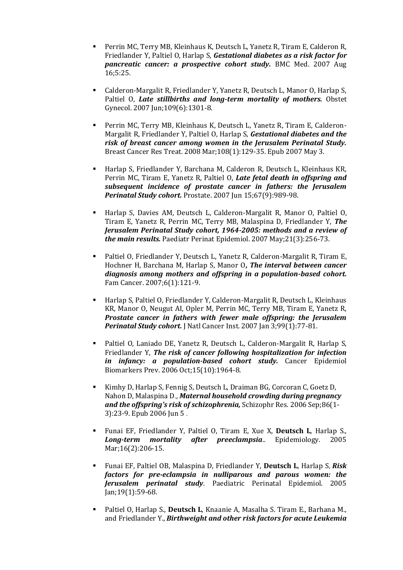- **•** Perrin MC, Terry MB, Kleinhaus K, Deutsch L, Yanetz R, Tiram E, Calderon R, Friedlander Y, Paltiel O, Harlap S, *[Gestational diabetes as a risk factor for](http://www.ncbi.nlm.nih.gov/pubmed/17705823?itool=EntrezSystem2.PEntrez.Pubmed.Pubmed_ResultsPanel.Pubmed_RVDocSum&ordinalpos=13)  [pancreatic cancer: a prospective cohort study.](http://www.ncbi.nlm.nih.gov/pubmed/17705823?itool=EntrezSystem2.PEntrez.Pubmed.Pubmed_ResultsPanel.Pubmed_RVDocSum&ordinalpos=13)* BMC Med. 2007 Aug 16;5:25.
- Calderon-Margalit R, Friedlander Y, Yanetz R, Deutsch L, Manor O, Harlap S, Paltiel O, *[Late stillbirths and long-term mortality of mothers.](http://www.ncbi.nlm.nih.gov/pubmed/17540801?itool=EntrezSystem2.PEntrez.Pubmed.Pubmed_ResultsPanel.Pubmed_RVDocSum&ordinalpos=14)* Obstet Gynecol. 2007 Jun;109(6):1301-8.
- Perrin MC, Terry MB, Kleinhaus K, Deutsch L, Yanetz R, Tiram E, Calderon-Margalit R, Friedlander Y, Paltiel O, Harlap S, *[Gestational diabetes and the](http://www.ncbi.nlm.nih.gov/pubmed/17476589?itool=EntrezSystem2.PEntrez.Pubmed.Pubmed_ResultsPanel.Pubmed_RVDocSum&ordinalpos=15)  [risk of breast cancer among women in the Jerusalem Perinatal Study.](http://www.ncbi.nlm.nih.gov/pubmed/17476589?itool=EntrezSystem2.PEntrez.Pubmed.Pubmed_ResultsPanel.Pubmed_RVDocSum&ordinalpos=15)* Breast Cancer Res Treat. 2008 Mar;108(1):129-35. Epub 2007 May 3.
- Harlap S, Friedlander Y, Barchana M, Calderon R, Deutsch L, Kleinhaus KR, Perrin MC, Tiram E, Yanetz R, Paltiel O, *[Late fetal death in offspring and](http://www.ncbi.nlm.nih.gov/pubmed/17440938?itool=EntrezSystem2.PEntrez.Pubmed.Pubmed_ResultsPanel.Pubmed_RVDocSum&ordinalpos=16)  [subsequent incidence of prostate cancer in fathers: the Jerusalem](http://www.ncbi.nlm.nih.gov/pubmed/17440938?itool=EntrezSystem2.PEntrez.Pubmed.Pubmed_ResultsPanel.Pubmed_RVDocSum&ordinalpos=16)  [Perinatal Study cohort.](http://www.ncbi.nlm.nih.gov/pubmed/17440938?itool=EntrezSystem2.PEntrez.Pubmed.Pubmed_ResultsPanel.Pubmed_RVDocSum&ordinalpos=16)* Prostate. 2007 Jun 15;67(9):989-98.
- Harlap S, Davies AM, Deutsch L, Calderon-Margalit R, Manor O, Paltiel O, Tiram E, Yanetz R, Perrin MC, Terry MB, Malaspina D, Friedlander Y, *[The](http://www.ncbi.nlm.nih.gov/pubmed/17439536?itool=EntrezSystem2.PEntrez.Pubmed.Pubmed_ResultsPanel.Pubmed_RVDocSum&ordinalpos=17)  [Jerusalem Perinatal Study cohort, 1964-2005: methods and a review of](http://www.ncbi.nlm.nih.gov/pubmed/17439536?itool=EntrezSystem2.PEntrez.Pubmed.Pubmed_ResultsPanel.Pubmed_RVDocSum&ordinalpos=17)  [the main results.](http://www.ncbi.nlm.nih.gov/pubmed/17439536?itool=EntrezSystem2.PEntrez.Pubmed.Pubmed_ResultsPanel.Pubmed_RVDocSum&ordinalpos=17)* Paediatr Perinat Epidemiol. 2007 May;21(3):256-73.
- Paltiel O, Friedlander Y, Deutsch L, Yanetz R, Calderon-Margalit R, Tiram E, Hochner H, Barchana M, Harlap S, Manor O*, [The interval between cancer](http://www.ncbi.nlm.nih.gov/pubmed/17216543?itool=EntrezSystem2.PEntrez.Pubmed.Pubmed_ResultsPanel.Pubmed_RVDocSum&ordinalpos=19)  [diagnosis among mothers and offspring in a population-based cohort.](http://www.ncbi.nlm.nih.gov/pubmed/17216543?itool=EntrezSystem2.PEntrez.Pubmed.Pubmed_ResultsPanel.Pubmed_RVDocSum&ordinalpos=19)* Fam Cancer. 2007;6(1):121-9.
- Harlap S, Paltiel O, Friedlander Y, Calderon-Margalit R, Deutsch L, Kleinhaus KR, Manor O, Neugut AI, Opler M, Perrin MC, Terry MB, Tiram E, Yanetz R, *[Prostate cancer in fathers with fewer male offspring: the Jerusalem](http://www.ncbi.nlm.nih.gov/pubmed/17202115?itool=EntrezSystem2.PEntrez.Pubmed.Pubmed_ResultsPanel.Pubmed_RVDocSum&ordinalpos=20)  [Perinatal Study cohort.](http://www.ncbi.nlm.nih.gov/pubmed/17202115?itool=EntrezSystem2.PEntrez.Pubmed.Pubmed_ResultsPanel.Pubmed_RVDocSum&ordinalpos=20)* J Natl Cancer Inst. 2007 Jan 3;99(1):77-81.
- Paltiel O, Laniado DE, Yanetz R, Deutsch L, Calderon-Margalit R, Harlap S, Friedlander Y, *The risk of cancer following hospitalization for infection in infancy: a population-based cohort study.* Cancer Epidemiol Biomarkers Prev. 2006 Oct;15(10):1964-8.
- Kimhy D, Harlap S, Fennig S, Deutsch L, Draiman BG, Corcoran C, Goetz D, Nahon D, Malaspina D., *Maternal household crowding during pregnancy and the offspring's risk of schizophrenia,* Schizophr Res. 2006 Sep;86(1- 3):23-9. Epub 2006 Jun 5 .
- Funai EF, Friedlander Y, Paltiel O, Tiram E, Xue X, **Deutsch L**, Harlap S., *Long-term mortality after preeclampsia*.. Epidemiology. 2005 Mar:16(2):206-15.
- Funai EF, Paltiel OB, Malaspina D, Friedlander Y, **Deutsch L**, Harlap S, *Risk factors for pre-eclampsia in nulliparous and parous women: the Jerusalem perinatal study*. Paediatric Perinatal Epidemiol. 2005 Jan;19(1):59-68.
- Paltiel O, Harlap S., **Deutsch L**, Knaanie A, Masalha S. Tiram E., Barhana M., and Friedlander Y., *Birthweight and other risk factors for acute Leukemia*